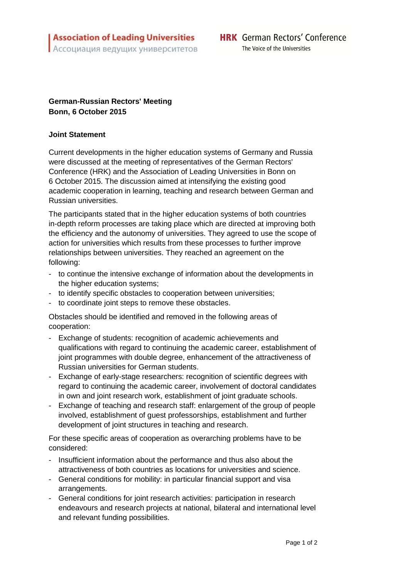The Voice of the Universities

## **German-Russian Rectors' Meeting Bonn, 6 October 2015**

## **Joint Statement**

Current developments in the higher education systems of Germany and Russia were discussed at the meeting of representatives of the German Rectors' Conference (HRK) and the Association of Leading Universities in Bonn on 6 October 2015. The discussion aimed at intensifying the existing good academic cooperation in learning, teaching and research between German and Russian universities.

The participants stated that in the higher education systems of both countries in-depth reform processes are taking place which are directed at improving both the efficiency and the autonomy of universities. They agreed to use the scope of action for universities which results from these processes to further improve relationships between universities. They reached an agreement on the following:

- to continue the intensive exchange of information about the developments in the higher education systems:
- to identify specific obstacles to cooperation between universities;
- to coordinate joint steps to remove these obstacles.

Obstacles should be identified and removed in the following areas of cooperation:

- Exchange of students: recognition of academic achievements and qualifications with regard to continuing the academic career, establishment of joint programmes with double degree, enhancement of the attractiveness of Russian universities for German students.
- Exchange of early-stage researchers: recognition of scientific degrees with regard to continuing the academic career, involvement of doctoral candidates in own and joint research work, establishment of joint graduate schools.
- Exchange of teaching and research staff: enlargement of the group of people involved, establishment of guest professorships, establishment and further development of joint structures in teaching and research.

For these specific areas of cooperation as overarching problems have to be considered:

- Insufficient information about the performance and thus also about the attractiveness of both countries as locations for universities and science.
- General conditions for mobility: in particular financial support and visa arrangements.
- General conditions for joint research activities: participation in research endeavours and research projects at national, bilateral and international level and relevant funding possibilities.